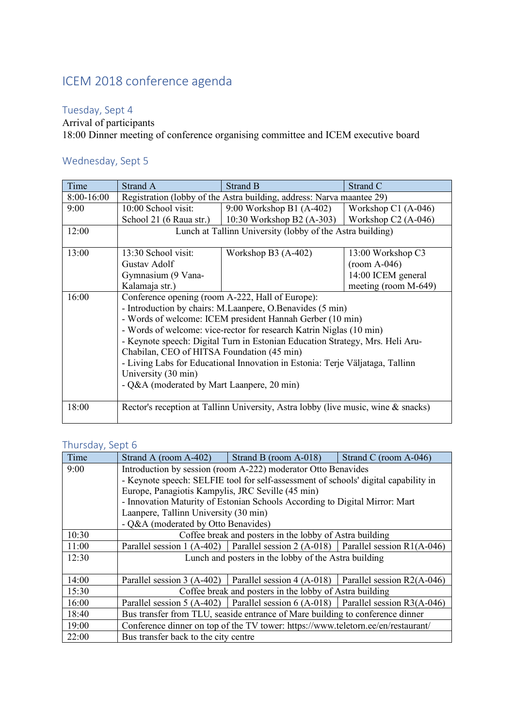# ICEM 2018 conference agenda

## Tuesday, Sept 4

Arrival of participants

18:00 Dinner meeting of conference organising committee and ICEM executive board

# Wednesday, Sept 5

| Time       | Strand A                                                                                                                                                                                                                                                                          | Strand B                                        | Strand C              |  |  |  |
|------------|-----------------------------------------------------------------------------------------------------------------------------------------------------------------------------------------------------------------------------------------------------------------------------------|-------------------------------------------------|-----------------------|--|--|--|
| 8:00-16:00 | Registration (lobby of the Astra building, address: Narva maantee 29)                                                                                                                                                                                                             |                                                 |                       |  |  |  |
| 9:00       | 10:00 School visit:                                                                                                                                                                                                                                                               | 9:00 Workshop B1 (A-402)                        | Workshop $C1$ (A-046) |  |  |  |
|            | School 21 (6 Raua str.)                                                                                                                                                                                                                                                           | 10:30 Workshop B2 (A-303)   Workshop C2 (A-046) |                       |  |  |  |
| 12:00      | Lunch at Tallinn University (lobby of the Astra building)                                                                                                                                                                                                                         |                                                 |                       |  |  |  |
|            |                                                                                                                                                                                                                                                                                   |                                                 |                       |  |  |  |
| 13:00      | 13:30 School visit:                                                                                                                                                                                                                                                               | Workshop B3 $(A-402)$                           | 13:00 Workshop C3     |  |  |  |
|            | Gustav Adolf                                                                                                                                                                                                                                                                      |                                                 | $(room A-046)$        |  |  |  |
|            | Gymnasium (9 Vana-                                                                                                                                                                                                                                                                |                                                 | 14:00 ICEM general    |  |  |  |
|            | Kalamaja str.)                                                                                                                                                                                                                                                                    |                                                 | meeting (room M-649)  |  |  |  |
| 16:00      | Conference opening (room A-222, Hall of Europe):                                                                                                                                                                                                                                  |                                                 |                       |  |  |  |
|            | - Introduction by chairs: M.Laanpere, O.Benavides (5 min)                                                                                                                                                                                                                         |                                                 |                       |  |  |  |
|            | - Words of welcome: ICEM president Hannah Gerber (10 min)                                                                                                                                                                                                                         |                                                 |                       |  |  |  |
|            | - Words of welcome: vice-rector for research Katrin Niglas (10 min)                                                                                                                                                                                                               |                                                 |                       |  |  |  |
|            | - Keynote speech: Digital Turn in Estonian Education Strategy, Mrs. Heli Aru-<br>Chabilan, CEO of HITSA Foundation (45 min)<br>- Living Labs for Educational Innovation in Estonia: Terje Väljataga, Tallinn<br>University (30 min)<br>- Q&A (moderated by Mart Laanpere, 20 min) |                                                 |                       |  |  |  |
|            |                                                                                                                                                                                                                                                                                   |                                                 |                       |  |  |  |
|            |                                                                                                                                                                                                                                                                                   |                                                 |                       |  |  |  |
|            |                                                                                                                                                                                                                                                                                   |                                                 |                       |  |  |  |
|            |                                                                                                                                                                                                                                                                                   |                                                 |                       |  |  |  |
|            |                                                                                                                                                                                                                                                                                   |                                                 |                       |  |  |  |
| 18:00      | Rector's reception at Tallinn University, Astra lobby (live music, wine & snacks)                                                                                                                                                                                                 |                                                 |                       |  |  |  |

## Thursday, Sept 6

| Time  | Strand A (room A-402) Strand B (room A-018)<br>Strand C (room A-046)                   |  |  |  |  |
|-------|----------------------------------------------------------------------------------------|--|--|--|--|
| 9:00  | Introduction by session (room A-222) moderator Otto Benavides                          |  |  |  |  |
|       | - Keynote speech: SELFIE tool for self-assessment of schools' digital capability in    |  |  |  |  |
|       | Europe, Panagiotis Kampylis, JRC Seville (45 min)                                      |  |  |  |  |
|       | - Innovation Maturity of Estonian Schools According to Digital Mirror: Mart            |  |  |  |  |
|       | Laanpere, Tallinn University (30 min)                                                  |  |  |  |  |
|       | - Q&A (moderated by Otto Benavides)                                                    |  |  |  |  |
| 10:30 | Coffee break and posters in the lobby of Astra building                                |  |  |  |  |
| 11:00 | Parallel session 1 (A-402)   Parallel session 2 (A-018)   Parallel session R1(A-046)   |  |  |  |  |
| 12:30 | Lunch and posters in the lobby of the Astra building                                   |  |  |  |  |
|       |                                                                                        |  |  |  |  |
| 14:00 | Parallel session 3 (A-402)   Parallel session 4 (A-018)   Parallel session $R2(A-046)$ |  |  |  |  |
| 15:30 | Coffee break and posters in the lobby of Astra building                                |  |  |  |  |
| 16:00 | Parallel session 5 (A-402)   Parallel session 6 (A-018)   Parallel session R3(A-046)   |  |  |  |  |
| 18:40 | Bus transfer from TLU, seaside entrance of Mare building to conference dinner          |  |  |  |  |
| 19:00 | Conference dinner on top of the TV tower: https://www.teletorn.ee/en/restaurant/       |  |  |  |  |
| 22:00 | Bus transfer back to the city centre                                                   |  |  |  |  |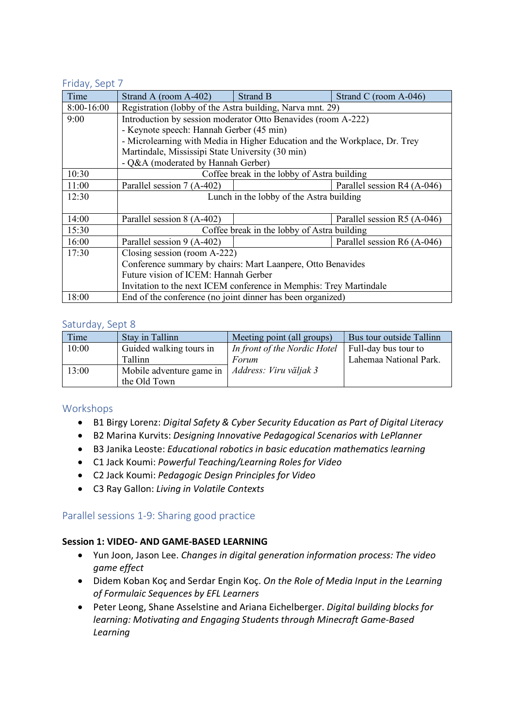#### Friday, Sept 7

| Time       | Strand A (room A-402)                                                      | Strand B | Strand C (room A-046)       |  |  |
|------------|----------------------------------------------------------------------------|----------|-----------------------------|--|--|
| 8:00-16:00 | Registration (lobby of the Astra building, Narva mnt. 29)                  |          |                             |  |  |
| 9:00       | Introduction by session moderator Otto Benavides (room A-222)              |          |                             |  |  |
|            | - Keynote speech: Hannah Gerber (45 min)                                   |          |                             |  |  |
|            | - Microlearning with Media in Higher Education and the Workplace, Dr. Trey |          |                             |  |  |
|            | Martindale, Mississipi State University (30 min)                           |          |                             |  |  |
|            | - Q&A (moderated by Hannah Gerber)                                         |          |                             |  |  |
| 10:30      | Coffee break in the lobby of Astra building                                |          |                             |  |  |
| 11:00      | Parallel session 7 (A-402)                                                 |          | Parallel session R4 (A-046) |  |  |
| 12:30      | Lunch in the lobby of the Astra building                                   |          |                             |  |  |
|            |                                                                            |          |                             |  |  |
| 14:00      | Parallel session 8 (A-402)                                                 |          | Parallel session R5 (A-046) |  |  |
| 15:30      | Coffee break in the lobby of Astra building                                |          |                             |  |  |
| 16:00      | Parallel session 9 (A-402)                                                 |          | Parallel session R6 (A-046) |  |  |
| 17:30      | Closing session (room A-222)                                               |          |                             |  |  |
|            | Conference summary by chairs: Mart Laanpere, Otto Benavides                |          |                             |  |  |
|            | Future vision of ICEM: Hannah Gerber                                       |          |                             |  |  |
|            | Invitation to the next ICEM conference in Memphis: Trey Martindale         |          |                             |  |  |
| 18:00      | End of the conference (no joint dinner has been organized)                 |          |                             |  |  |

#### Saturday, Sept 8

| Time  | Stay in Tallinn          | Meeting point (all groups)   | Bus tour outside Tallinn |
|-------|--------------------------|------------------------------|--------------------------|
| 10:00 | Guided walking tours in  | In front of the Nordic Hotel | Full-day bus tour to     |
|       | <b>Tallinn</b>           | Forum                        | Lahemaa National Park.   |
| 13:00 | Mobile adventure game in | Address: Viru väljak 3       |                          |
|       | the Old Town             |                              |                          |

## Workshops

- B1 Birgy Lorenz: *Digital Safety & Cyber Security Education as Part of Digital Literacy*
- B2 Marina Kurvits: *Designing Innovative Pedagogical Scenarios with LePlanner*
- B3 Janika Leoste: *Educational robotics in basic education mathematics learning*
- C1 Jack Koumi: *Powerful Teaching/Learning Roles for Video*
- C2 Jack Koumi: *Pedagogic Design Principles for Video*
- C3 Ray Gallon: *Living in Volatile Contexts*

## Parallel sessions 1-9: Sharing good practice

#### **Session 1: VIDEO- AND GAME-BASED LEARNING**

- Yun Joon, Jason Lee. *Changes in digital generation information process: The video game effect*
- Didem Koban Koç and Serdar Engin Koç. *On the Role of Media Input in the Learning of Formulaic Sequences by EFL Learners*
- Peter Leong, Shane Asselstine and Ariana Eichelberger. *Digital building blocks for learning: Motivating and Engaging Students through Minecraft Game-Based Learning*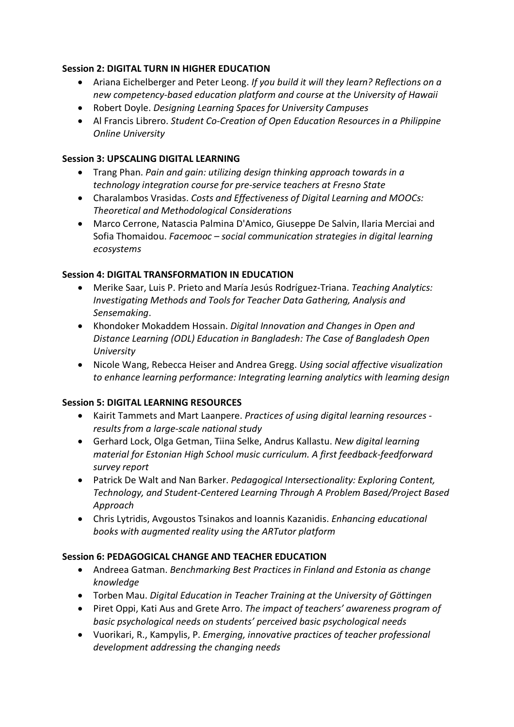## **Session 2: DIGITAL TURN IN HIGHER EDUCATION**

- Ariana Eichelberger and Peter Leong. *If you build it will they learn? Reflections on a new competency-based education platform and course at the University of Hawaii*
- Robert Doyle. *Designing Learning Spaces for University Campuses*
- Al Francis Librero. *Student Co-Creation of Open Education Resources in a Philippine Online University*

## **Session 3: UPSCALING DIGITAL LEARNING**

- Trang Phan. *Pain and gain: utilizing design thinking approach towards in a technology integration course for pre-service teachers at Fresno State*
- Charalambos Vrasidas. *Costs and Effectiveness of Digital Learning and MOOCs: Theoretical and Methodological Considerations*
- Marco Cerrone, Natascia Palmina D'Amico, Giuseppe De Salvin, Ilaria Merciai and Sofia Thomaidou. *Facemooc – social communication strategies in digital learning ecosystems*

#### **Session 4: DIGITAL TRANSFORMATION IN EDUCATION**

- Merike Saar, Luis P. Prieto and María Jesús Rodríguez-Triana. *Teaching Analytics: Investigating Methods and Tools for Teacher Data Gathering, Analysis and Sensemaking*.
- Khondoker Mokaddem Hossain. *Digital Innovation and Changes in Open and Distance Learning (ODL) Education in Bangladesh: The Case of Bangladesh Open University*
- Nicole Wang, Rebecca Heiser and Andrea Gregg. *Using social affective visualization to enhance learning performance: Integrating learning analytics with learning design*

#### **Session 5: DIGITAL LEARNING RESOURCES**

- Kairit Tammets and Mart Laanpere. *Practices of using digital learning resources results from a large-scale national study*
- Gerhard Lock, Olga Getman, Tiina Selke, Andrus Kallastu. *New digital learning material for Estonian High School music curriculum. A first feedback-feedforward survey report*
- Patrick De Walt and Nan Barker. *Pedagogical Intersectionality: Exploring Content, Technology, and Student-Centered Learning Through A Problem Based/Project Based Approach*
- Chris Lytridis, Avgoustos Tsinakos and Ioannis Kazanidis. *Enhancing educational books with augmented reality using the ARTutor platform*

#### **Session 6: PEDAGOGICAL CHANGE AND TEACHER EDUCATION**

- Andreea Gatman. *Benchmarking Best Practices in Finland and Estonia as change knowledge*
- Torben Mau. *Digital Education in Teacher Training at the University of Göttingen*
- Piret Oppi, Kati Aus and Grete Arro. *The impact of teachers' awareness program of basic psychological needs on students' perceived basic psychological needs*
- Vuorikari, R., Kampylis, P. *Emerging, innovative practices of teacher professional development addressing the changing needs*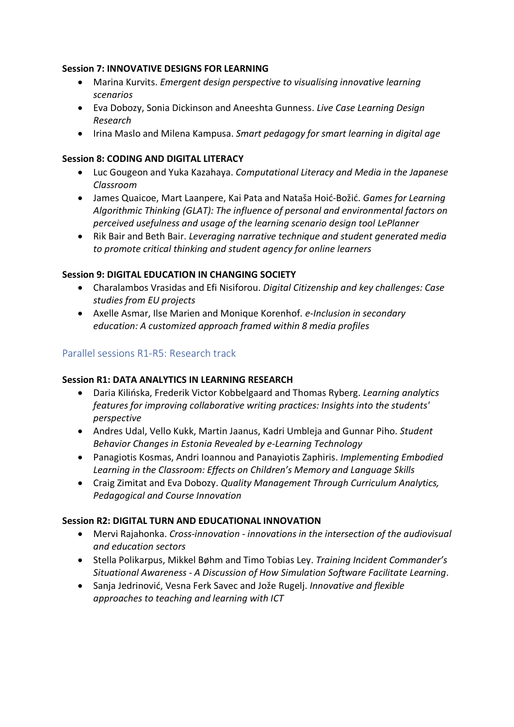## **Session 7: INNOVATIVE DESIGNS FOR LEARNING**

- Marina Kurvits. *Emergent design perspective to visualising innovative learning scenarios*
- Eva Dobozy, Sonia Dickinson and Aneeshta Gunness. *Live Case Learning Design Research*
- Irina Maslo and Milena Kampusa. *Smart pedagogy for smart learning in digital age*

## **Session 8: CODING AND DIGITAL LITERACY**

- Luc Gougeon and Yuka Kazahaya. *Computational Literacy and Media in the Japanese Classroom*
- James Quaicoe, Mart Laanpere, Kai Pata and Nataša Hoić-Božić. *Games for Learning Algorithmic Thinking (GLAT): The influence of personal and environmental factors on perceived usefulness and usage of the learning scenario design tool LePlanner*
- Rik Bair and Beth Bair. *Leveraging narrative technique and student generated media to promote critical thinking and student agency for online learners*

## **Session 9: DIGITAL EDUCATION IN CHANGING SOCIETY**

- Charalambos Vrasidas and Efi Nisiforou. *Digital Citizenship and key challenges: Case studies from EU projects*
- Axelle Asmar, Ilse Marien and Monique Korenhof. *e-Inclusion in secondary education: A customized approach framed within 8 media profiles*

## Parallel sessions R1-R5: Research track

#### **Session R1: DATA ANALYTICS IN LEARNING RESEARCH**

- Daria Kilińska, Frederik Victor Kobbelgaard and Thomas Ryberg. *Learning analytics features for improving collaborative writing practices: Insights into the students' perspective*
- Andres Udal, Vello Kukk, Martin Jaanus, Kadri Umbleja and Gunnar Piho. *Student Behavior Changes in Estonia Revealed by e-Learning Technology*
- Panagiotis Kosmas, Andri Ioannou and Panayiotis Zaphiris. *Implementing Embodied Learning in the Classroom: Effects on Children's Memory and Language Skills*
- Craig Zimitat and Eva Dobozy. *Quality Management Through Curriculum Analytics, Pedagogical and Course Innovation*

## **Session R2: DIGITAL TURN AND EDUCATIONAL INNOVATION**

- Mervi Rajahonka. *Cross-innovation - innovations in the intersection of the audiovisual and education sectors*
- Stella Polikarpus, Mikkel Bøhm and Timo Tobias Ley. *Training Incident Commander's Situational Awareness - A Discussion of How Simulation Software Facilitate Learning*.
- Sanja Jedrinović, Vesna Ferk Savec and Jože Rugelj. *Innovative and flexible approaches to teaching and learning with ICT*